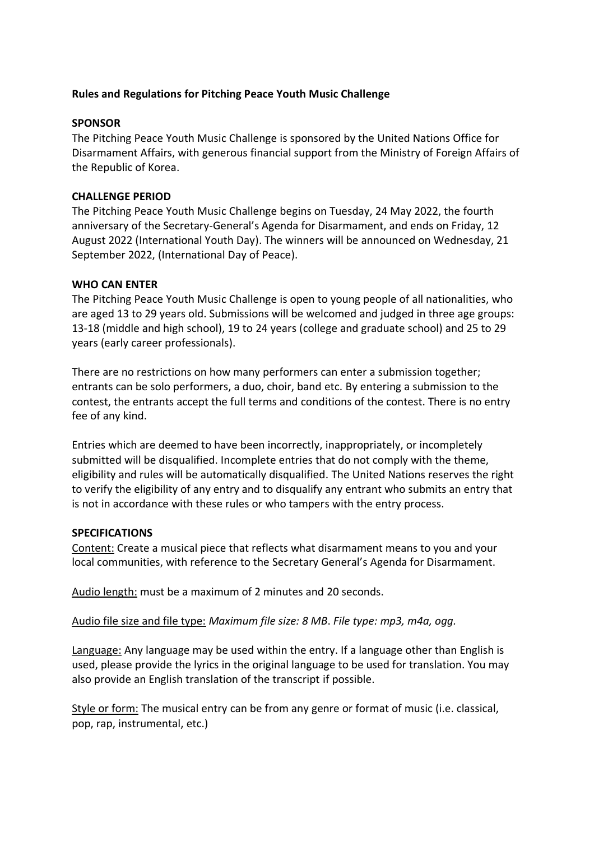## **Rules and Regulations for Pitching Peace Youth Music Challenge**

## **SPONSOR**

The Pitching Peace Youth Music Challenge is sponsored by the United Nations Office for Disarmament Affairs, with generous financial support from the Ministry of Foreign Affairs of the Republic of Korea.

# **CHALLENGE PERIOD**

The Pitching Peace Youth Music Challenge begins on Tuesday, 24 May 2022, the fourth anniversary of the Secretary-General's Agenda for Disarmament, and ends on Friday, 12 August 2022 (International Youth Day). The winners will be announced on Wednesday, 21 September 2022, (International Day of Peace).

# **WHO CAN ENTER**

The Pitching Peace Youth Music Challenge is open to young people of all nationalities, who are aged 13 to 29 years old. Submissions will be welcomed and judged in three age groups: 13-18 (middle and high school), 19 to 24 years (college and graduate school) and 25 to 29 years (early career professionals).

There are no restrictions on how many performers can enter a submission together; entrants can be solo performers, a duo, choir, band etc. By entering a submission to the contest, the entrants accept the full terms and conditions of the contest. There is no entry fee of any kind.

Entries which are deemed to have been incorrectly, inappropriately, or incompletely submitted will be disqualified. Incomplete entries that do not comply with the theme, eligibility and rules will be automatically disqualified. The United Nations reserves the right to verify the eligibility of any entry and to disqualify any entrant who submits an entry that is not in accordance with these rules or who tampers with the entry process.

### **SPECIFICATIONS**

Content: Create a musical piece that reflects what disarmament means to you and your local communities, with reference to the Secretary General's Agenda for Disarmament.

Audio length: must be a maximum of 2 minutes and 20 seconds.

Audio file size and file type: *Maximum file size: 8 MB*. *File type: mp3, m4a, ogg.* 

Language: Any language may be used within the entry. If a language other than English is used, please provide the lyrics in the original language to be used for translation. You may also provide an English translation of the transcript if possible.

Style or form: The musical entry can be from any genre or format of music (i.e. classical, pop, rap, instrumental, etc.)